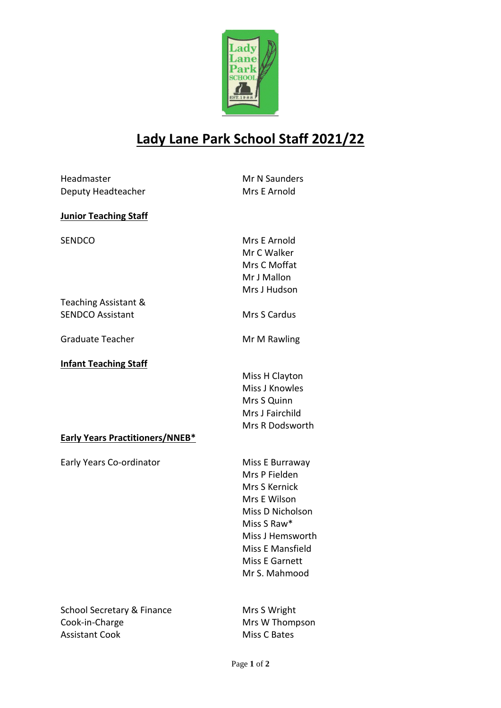

## **Lady Lane Park School Staff 2021/22**

| Headmaster                             | Mr N Saunders         |  |
|----------------------------------------|-----------------------|--|
|                                        | Mrs E Arnold          |  |
| Deputy Headteacher                     |                       |  |
| <b>Junior Teaching Staff</b>           |                       |  |
| <b>SENDCO</b>                          | Mrs E Arnold          |  |
|                                        | Mr C Walker           |  |
|                                        | Mrs C Moffat          |  |
|                                        | Mr J Mallon           |  |
|                                        | Mrs J Hudson          |  |
| Teaching Assistant &                   |                       |  |
| <b>SENDCO Assistant</b>                | Mrs S Cardus          |  |
| <b>Graduate Teacher</b>                | Mr M Rawling          |  |
| <b>Infant Teaching Staff</b>           |                       |  |
|                                        | Miss H Clayton        |  |
|                                        | Miss J Knowles        |  |
|                                        | Mrs S Quinn           |  |
|                                        | Mrs J Fairchild       |  |
|                                        | Mrs R Dodsworth       |  |
| <b>Early Years Practitioners/NNEB*</b> |                       |  |
| Early Years Co-ordinator               | Miss E Burraway       |  |
|                                        | Mrs P Fielden         |  |
|                                        | Mrs S Kernick         |  |
|                                        | Mrs E Wilson          |  |
|                                        | Miss D Nicholson      |  |
|                                        | Miss S Raw*           |  |
|                                        | Miss J Hemsworth      |  |
|                                        | Miss E Mansfield      |  |
|                                        | <b>Miss E Garnett</b> |  |

School Secretary & Finance Mrs S Wright<br>
Cook-in-Charge Mrs W Thomp Assistant Cook Miss C Bates

Mrs W Thompson

Mr S. Mahmood